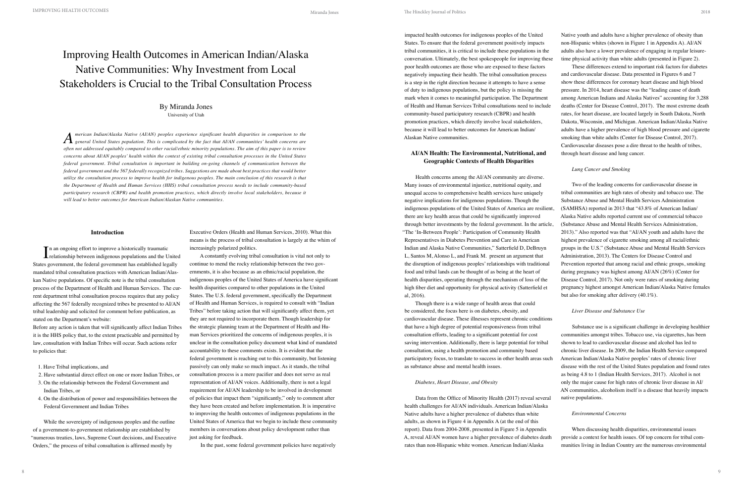# Improving Health Outcomes in American Indian/Alaska Native Communities: Why Investment from Local Stakeholders is Crucial to the Tribal Consultation Process

### **Introduction**

In an ongoing effort to improve a historically traumatic<br>
relationship between indigenous populations and the U **L** relationship between indigenous populations and the United States government, the federal government has established legally mandated tribal consultation practices with American Indian/Alaskan Native populations. Of specific note is the tribal consultation process of the Department of Health and Human Services. The current department tribal consultation process requires that any policy affecting the 567 federally recognized tribes be presented to AI/AN tribal leadership and solicited for comment before publication, as stated on the Department's website:

A constantly evolving tribal consultation is vital not only to continue to mend the rocky relationship between the two governments, it is also because as an ethnic/racial population, the indigenous peoples of the United States of America have significant health disparities compared to other populations in the United States. The U.S. federal government, specifically the Department of Health and Human Services, is required to consult with "Indian Tribes" before taking action that will significantly affect them, yet they are not required to incorporate them. Though leadership for the strategic planning team at the Department of Health and Human Services prioritized the concerns of indigenous peoples, it is unclear in the consultation policy document what kind of mandated accountability to these comments exists. It is evident that the federal government is reaching out to this community, but listening passively can only make so much impact. As it stands, the tribal consultation process is a mere pacifier and does not serve as real representation of AI/AN voices. Additionally, there is not a legal requirement for AI/AN leadership to be involved in development of policies that impact them "significantly," only to comment after they have been created and before implementation. It is imperative to improving the health outcomes of indigenous populations in the United States of America that we begin to include these community members in conversations about policy development rather than just asking for feedback.

Before any action is taken that will significantly affect Indian Tribes it is the HHS policy that, to the extent practicable and permitted by law, consultation with Indian Tribes will occur. Such actions refer to policies that:

- 1. Have Tribal implications, and
- 2. Have substantial direct effect on one or more Indian Tribes, or
- 3. On the relationship between the Federal Government and Indian Tribes, or
- 4. On the distribution of power and responsibilities between the Federal Government and Indian Tribes

While the sovereignty of indigenous peoples and the outline of a government-to-government relationship are established by "numerous treaties, laws, Supreme Court decisions, and Executive Orders," the process of tribal consultation is affirmed mostly by

Executive Orders (Health and Human Services, 2010). What this means is the process of tribal consultation is largely at the whim of increasingly polarized politics.

In the past, some federal government policies have negatively

## By Miranda Jones University of Utah

impacted health outcomes for indigenous peoples of the United States. To ensure that the federal government positively impacts tribal communities, it is critical to include these populations in the conversation. Ultimately, the best spokespeople for improving these poor health outcomes are those who are exposed to these factors negatively impacting their health. The tribal consultation process is a step in the right direction because it attempts to have a sense of duty to indigenous populations, but the policy is missing the mark when it comes to meaningful participation. The Department of Health and Human Services Tribal consultations need to include community-based participatory research (CBPR) and health promotion practices, which directly involve local stakeholders, because it will lead to better outcomes for American Indian/ Alaskan Native communities.

# **AI/AN Health: The Environmental, Nutritional, and Geographic Contexts of Health Disparities**

 $A \centering \begin{minipage}{0.9\linewidth} \emph{Reircular/Alaska Native (Al/AN) peoples experience significant health disparities in comparison to the general United States population. This is complicated by the fact that Al/AN communities' health concerns are used. \emph{Reversal} \end{minipage}$ *often not addressed equitably compared to other racial/ethnic minority populations. The aim of this paper is to review concerns about AI/AN peoples' health within the context of existing tribal consultation processes in the United States federal government. Tribal consultation is important in building on-going channels of communication between the federal government and the 567 federally recognized tribes. Suggestions are made about best practices that would better utilize the consultation process to improve health for indigenous peoples. The main conclusion of this research is that the Department of Health and Human Services (HHS) tribal consultation process needs to include community-based participatory research (CBPR) and health promotion practices, which directly involve local stakeholders, because it will lead to better outcomes for American Indian/Alaskan Native communities.*

Health concerns among the AI/AN community are diverse. Many issues of environmental injustice, nutritional equity, and unequal access to comprehensive health services have uniquely negative implications for indigenous populations. Though the indigenous populations of the United States of America are resilient, there are key health areas that could be significantly improved through better investments by the federal government. In the article, "The 'In-Between People': Participation of Community Health Representatives in Diabetes Prevention and Care in American Indian and Alaska Native Communities," Satterfield D, DeBruyn L, Santos M, Alonso L, and Frank M. present an argument that the disruption of indigenous peoples' relationships with traditional food and tribal lands can be thought of as being at the heart of health disparities, operating through the mechanism of loss of the high fiber diet and opportunity for physical activity (Satterfield et al, 2016). Two of the leading concerns for cardiovascular disease in tribal communities are high rates of obesity and tobacco use. The Substance Abuse and Mental Health Services Administration (SAMHSA) reported in 2013 that "43.8% of American Indian/ Alaska Native adults reported current use of commercial tobacco (Substance Abuse and Mental Health Services Administration, 2013)." Also reported was that "AI/AN youth and adults have the highest prevalence of cigarette smoking among all racial/ethnic groups in the U.S." (Substance Abuse and Mental Health Services Administration, 2013). The Centers for Disease Control and Prevention reported that among racial and ethnic groups, smoking during pregnancy was highest among AI/AN (26%) (Center for Disease Control, 2017). Not only were rates of smoking during pregnancy highest amongst American Indian/Alaska Native females but also for smoking after delivery (40.1%).

Native youth and adults have a higher prevalence of obesity than non-Hispanic whites (shown in Figure 1 in Appendix A). AI/AN adults also have a lower prevalence of engaging in regular leisuretime physical activity than white adults (presented in Figure 2).

These differences extend to important risk factors for diabetes and cardiovascular disease. Data presented in Figures 6 and 7 show these differences for coronary heart disease and high blood pressure. In 2014, heart disease was the "leading cause of death among American Indians and Alaska Natives" accounting for 3,288 deaths (Center for Disease Control, 2017). The most extreme death rates, for heart disease, are located largely in South Dakota, North Dakota, Wisconsin, and Michigan. American Indian/Alaska Native adults have a higher prevalence of high blood pressure and cigarette smoking than white adults (Center for Disease Control, 2017). Cardiovascular diseases pose a dire threat to the health of tribes, through heart disease and lung cancer.

Though there is a wide range of health areas that could be considered, the focus here is on diabetes, obesity, and cardiovascular disease. These illnesses represent chronic conditions that have a high degree of potential responsiveness from tribal consultation efforts, leading to a significant potential for cost saving intervention. Additionally, there is large potential for tribal consultation, using a health promotion and community based participatory focus, to translate to success in other health areas such as substance abuse and mental health issues. *Diabetes, Heart Disease, and Obesity* Data from the Office of Minority Health (2017) reveal several *Liver Disease and Substance Use* Substance use is a significant challenge in developing healthier communities amongst tribes. Tobacco use, via cigarettes, has been shown to lead to cardiovascular disease and alcohol has led to chronic liver disease. In 2009, the Indian Health Service compared American Indian/Alaska Native peoples' rates of chronic liver disease with the rest of the United States population and found rates as being 4.8 to 1 (Indian Health Services, 2017). Alcohol is not only the major cause for high rates of chronic liver disease in AI/ AN communities, alcoholism itself is a disease that heavily impacts native populations.

### *Lung Cancer and Smoking*

health challenges for AI/AN individuals. American Indian/Alaska Native adults have a higher prevalence of diabetes than white adults, as shown in Figure 4 in Appendix A (at the end of this report). Data from 2004-2008, presented in Figure 5 in Appendix A, reveal AI/AN women have a higher prevalence of diabetes death rates than non-Hispanic white women. American Indian/Alaska *Environmental Concerns* When discussing health disparities, environmental issues provide a context for health issues. Of top concern for tribal communities living in Indian Country are the numerous environmental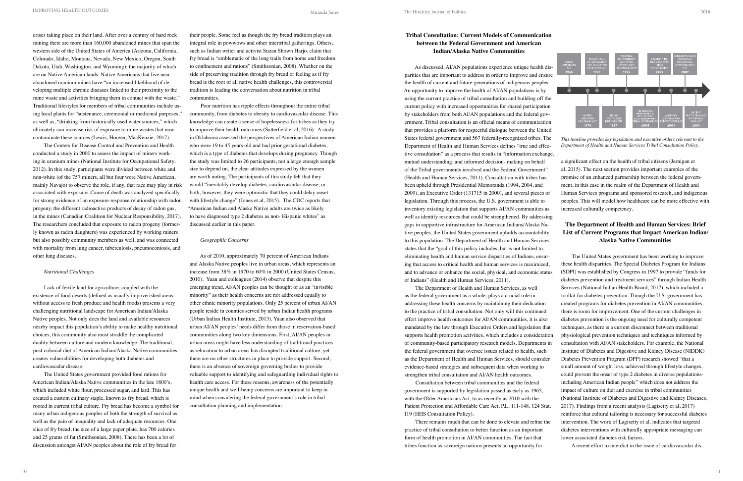crises taking place on their land. After over a century of hard rock mining there are more than 160,000 abandoned mines that span the western side of the United States of America (Arizona, California, Colorado, Idaho, Montana, Nevada, New Mexico, Oregon, South Dakota, Utah, Washington, and Wyoming); the majority of which are on Native American lands. Native Americans that live near abandoned uranium mines have "an increased likelihood of developing multiple chronic diseases linked to their proximity to the mine waste and activities bringing them in contact with the waste." Traditional lifestyles for members of tribal communities include using local plants for "sustenance, ceremonial or medicinal purposes," as well as, "drinking from historically used water sources," which ultimately can increase risk of exposure to mine wastes that now contaminate these sources (Lewis, Hoover, MacKenzie, 2017).

The Centers for Disease Control and Prevention and Health conducted a study in 2000 to assess the impact of miners working in uranium mines (National Institute for Occupational Safety, 2012). In this study, participants were divided between white and non-white (of the 757 miners, all but four were Native American, mainly Navajo) to observe the role, if any, that race may play in risk associated with exposure. Cause of death was analyzed specifically for strong evidence of an exposure-response relationship with radon progeny, the different radioactive products of decay of radon gas, in the mines (Canadian Coalition for Nuclear Responsibility, 2017). The researchers concluded that exposure to radon progeny (formerly known as radon daughters) was experienced by working miners but also possibly community members as well, and was connected with mortality from lung cancer, tuberculosis, pneumoconiosis, and other lung diseases.

### *Nutritional Challenges*

Lack of fertile land for agriculture, coupled with the existence of food deserts (defined as usually impoverished areas without access to fresh produce and health foods) presents a very challenging nutritional landscape for American Indian/Alaska Native peoples. Not only does the land and available resources nearby impact this population's ability to make healthy nutritional choices, this community also must straddle the complicated duality between culture and modern knowledge. The traditional, post-colonial diet of American Indian/Alaska Native communities creates vulnerabilities for developing both diabetes and cardiovascular disease.

The United States government provided food rations for American Indian/Alaska Native communities in the late 1800's, which included white flour, processed sugar, and lard. This has created a custom culinary staple, known as fry bread, which is rooted in current tribal culture. Fry bread has become a symbol for many urban indigenous peoples of both the strength of survival as well as the pain of inequality and lack of adequate resources. One slice of fry bread, the size of a large paper plate, has 700 calories and 25 grams of fat (Smithsonian, 2008). There has been a lot of discussion amongst AI/AN peoples about the role of fry bread for

their people. Some feel as though the fry bread tradition plays an integral role in powwows and other intertribal gatherings. Others, such as Indian writer and activist Suzan Shown Harjo, claim that fry bread is "emblematic of the long trails from home and freedom to confinement and rations" (Smithsonian, 2008). Whether on the side of preserving tradition through fry bread or feeling as if fry bread is the root of all native health challenges, this controversial tradition is leading the conversation about nutrition in tribal communities.

Poor nutrition has ripple effects throughout the entire tribal community, from diabetes to obesity to cardiovascular disease. This knowledge can create a sense of hopelessness for tribes as they try to improve their health outcomes (Satterfield et al, 2016). A study in Oklahoma assessed the perspectives of American Indian women who were 19 to 45 years old and had prior gestational diabetes, which is a type of diabetes that develops during pregnancy. Though the study was limited to 26 participants, not a large enough sample size to depend on, the clear attitudes expressed by the women are worth noting. The participants of this study felt that they would "inevitably develop diabetes, cardiovascular disease, or both; however, they were optimistic that they could delay onset with lifestyle change" (Jones et al, 2015). The CDC reports that "American Indian and Alaska Native adults are twice as likely to have diagnosed type 2 diabetes as non- Hispanic whites" as discussed earlier in this paper.

### *Geographic Concerns*

As of 2010, approximately 70 percent of American Indians and Alaska Native peoples live in urban areas, which represents an increase from 38% in 1970 to 60% in 2000 (United States Census, 2010). Yuan and colleagues (2014) observe that despite this emerging trend, AI/AN peoples can be thought of as an "invisible minority" as their health concerns are not addressed equally to other ethnic minority populations. Only 25 percent of urban AI/AN people reside in counties served by urban Indian health programs (Urban Indian Health Institute, 2013). Yuan also observed that urban AI/AN peoples' needs differ from those in reservation-based communities along two key dimensions. First, AI/AN peoples in urban areas might have less understanding of traditional practices as relocation to urban areas has disrupted traditional culture, yet there are no other structures in place to provide support. Second, there is an absence of sovereign governing bodies to provide valuable support to identifying and safeguarding individual rights to health care access. For these reasons, awareness of the potentially unique health and well-being concerns are important to keep in mind when considering the federal government's role in tribal consultation planning and implementation.

11 **10** 



**Tribal Consultation: Current Models of Communication between the Federal Government and American Indian/Alaska Native Communities**

As discussed, AI/AN populations experience unique health disparities that are important to address in order to improve and ensure the health of current and future generations of indigenous peoples. An opportunity to improve the health of AI/AN populations is by using the current practice of tribal consultation and building off the current policy with increased opportunities for shared participation by stakeholders from both AI/AN populations and the federal government. Tribal consultation is an official means of communication that provides a platform for respectful dialogue between the United States federal government and 567 federally-recognized tribes. The *This timeline provides key legislation and executive orders relevant to the*  Department of Health and Human Services defines "true and effec-*Department of Health and Human Services Tribal Consultation Policy.*  tive consultation" as a process that results in "information exchange, mutual understanding, and informed decision- making on behalf a significant effect on the health of tribal citizens (Jernigan et al, 2015). The next section provides important examples of the of the Tribal governments involved and the Federal Government" (Health and Human Services, 2011). Consultation with tribes has promise of an enhanced partnership between the federal governbeen upheld through Presidential Memoranda (1994, 2004, and ment, in this case in the realm of the Department of Health and 2009), an Executive Order (131715 in 2000), and several pieces of Human Services programs and sponsored research, and indigenous peoples. This will model how healthcare can be more effective with legislation. Through this process, the U.S. government is able to increased culturally competency. inventory existing legislation that supports AI/AN communities as well as identify resources that could be strengthened. By addressing gaps in supportive infrastructure for American Indians/Alaska Na-**The Department of Health and Human Services: Brief List of Current Programs that Impact American Indian/** tive peoples, the United States government upholds accountability **Alaska Native Communities** to this population. The Department of Health and Human Services states that the "goal of this policy includes, but is not limited to, eliminating health and human service disparities of Indians, ensur-The United States government has been working to improve these health disparities. The Special Diabetes Program for Indians (SDPI) was established by Congress in 1997 to provide "funds for

government is supported by legislation passed as early as 1965, with the Older Americans Act, to as recently as 2010 with the 119 (HHS Consultation Policy).

There remains much that can be done to elevate and refine the practice of tribal consultation to better function as an important form of health promotion in AI/AN communities. The fact that tribes function as sovereign nations presents an opportunity for

ing that access to critical health and human services is maximized, and to advance or enhance the social, physical, and economic status of Indians" (Health and Human Services, 2011). The Department of Health and Human Services, as well as the federal government as a whole, plays a crucial role in addressing these health concerns by maintaining their dedication to the practice of tribal consultation. Not only will this continued effort improve health outcomes for AI/AN communities, it is also mandated by the law through Executive Orders and legislation that supports health promotion activities, which includes a consideration of community-based participatory research models. Departments in the federal government that oversee issues related to health, such as the Department of Health and Human Services, should consider evidence-based strategies and subsequent data when working to strengthen tribal consultation and AI/AN health outcomes. Consultation between tribal communities and the federal Patient Protection and Affordable Care Act, P.L. 111-148, 124 Stat. diabetes prevention and treatment services" through Indian Health Services (National Indian Health Board, 2017), which included a toolkit for diabetes prevention. Though the U.S. government has created programs for diabetes prevention in AI/AN communities, there is room for improvement. One of the current challenges in diabetes prevention is the ongoing need for culturally competent techniques, as there is a current disconnect between traditional physiological prevention techniques and techniques informed by consultation with AI/AN stakeholders. For example, the National Institute of Diabetes and Digestive and Kidney Disease (NIDDK) Diabetes Prevention Program (DPP) research showed "that a small amount of weight loss, achieved through lifestyle changes, could prevent the onset of type 2 diabetes in diverse populationsincluding American Indian people" which does not address the impact of culture on diet and exercise in tribal communities (National Institute of Diabetes and Digestive and Kidney Diseases, 2017). Findings from a recent analysis (Lagisetty et al, 2017) reinforce that cultural tailoring is necessary for successful diabetes

intervention. The work of Lagisetty et al. indicates that targeted diabetes interventions with culturally appropriate messaging can lower associated diabetes risk factors.

A recent effort to interdict in the issue of cardiovascular dis-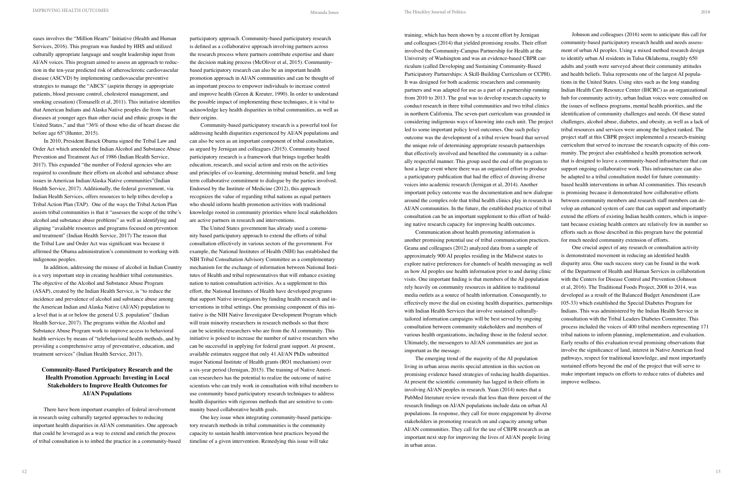eases involves the "Million Hearts" Initiative (Health and Human Services, 2016). This program was funded by HHS and utilized culturally appropriate language and sought leadership input from AI/AN voices. This program aimed to assess an approach to reduction in the ten-year predicted risk of atherosclerotic cardiovascular disease (ASCVD) by implementing cardiovascular preventive strategies to manage the "ABCS" (aspirin therapy in appropriate patients, blood pressure control, cholesterol management, and smoking cessation) (Tomaselli et al, 2011). This initiative identifies that American Indians and Alaska Native peoples die from "heart diseases at younger ages than other racial and ethnic groups in the United States," and that "36% of those who die of heart disease die before age 65"(Hunter, 2015).

In 2010, President Barack Obama signed the Tribal Law and Order Act which amended the Indian Alcohol and Substance Abuse Prevention and Treatment Act of 1986 (Indian Health Service, 2017). This expanded "the number of Federal agencies who are required to coordinate their efforts on alcohol and substance abuse issues in American Indian/Alaska Native communities"(Indian Health Service, 2017). Additionally, the federal government, via Indian Health Services, offers resources to help tribes develop a Tribal Action Plan (TAP). One of the ways the Tribal Action Plan assists tribal communities is that it "assesses the scope of the tribe's alcohol and substance abuse problems" as well as identifying and aligning "available resources and programs focused on prevention and treatment" (Indian Health Service, 2017) The reason that the Tribal Law and Order Act was significant was because it affirmed the Obama administration's commitment to working with indigenous peoples.

In addition, addressing the misuse of alcohol in Indian Country is a very important step in creating healthier tribal communities. The objective of the Alcohol and Substance Abuse Program (ASAP), created by the Indian Health Service, is "to reduce the incidence and prevalence of alcohol and substance abuse among the American Indian and Alaska Native (AI/AN) population to a level that is at or below the general U.S. population" (Indian Health Service, 2017). The programs within the Alcohol and Substance Abuse Program work to improve access to behavioral health services by means of "telebehavioral health methods, and by providing a comprehensive array of preventative, education, and treatment services" (Indian Health Service, 2017).

# **Community-Based Participatory Research and the Health Promotion Approach: Investing in Local Stakeholders to Improve Health Outcomes for AI/AN Populations**

There have been important examples of federal involvement in research using culturally targeted approaches to reducing important health disparities in AI/AN communities. One approach that could be leveraged as a way to extend and enrich the process of tribal consultation is to imbed the practice in a community-based participatory approach. Community-based participatory research is defined as a collaborative approach involving partners across the research process where partners contribute expertise and share the decision making process (McOliver et al, 2015). Communitybased participatory research can also be an important health promotion approach in AI/AN communities and can be thought of an important process to empower individuals to increase control and improve health (Green & Kreuter, 1990). In order to understand the possible impact of implementing these techniques, it is vital to acknowledge key health disparities in tribal communities, as well as their origins.

Community-based participatory research is a powerful tool for addressing health disparities experienced by AI/AN populations and can also be seen as an important component of tribal consultation, as argued by Jernigan and colleagues (2015). Community based participatory research is a framework that brings together health education, research, and social action and rests on the activities and principles of co-learning, determining mutual benefit, and long term collaborative commitment to dialogue by the parties involved. Endorsed by the Institute of Medicine (2012), this approach recognizes the value of regarding tribal nations as equal partners who should inform health promotion activities with traditional knowledge rooted in community priorities where local stakeholders are active partners in research and interventions.

The United States government has already used a community based participatory approach to extend the efforts of tribal consultation effectively in various sectors of the government. For example, the National Institutes of Health (NIH) has established the NIH Tribal Consultation Advisory Committee as a complementary mechanism for the exchange of information between National Institutes of Health and tribal representatives that will enhance existing nation to nation consultation activities. As a supplement to this effort, the National Institutes of Health have developed programs that support Native investigators by funding health research and interventions in tribal settings. One promising component of this initiative is the NIH Native Investigator Development Program which will train minority researchers in research methods so that there can be scientific researchers who are from the AI community. This initiative is poised to increase the number of native researchers who can be successful in applying for federal grant support. At present, available estimates suggest that only 41 AI/AN PhDs submitted major National Institute of Health grants (RO1 mechanism) over a six-year period (Jernigan, 2015). The training of Native American researchers has the potential to realize the outcome of native scientists who can truly work in consultation with tribal members to use community based participatory research techniques to address health disparities with rigorous methods that are sensitive to community based collaborative health goals.

One key issue when integrating community-based participatory research methods in tribal communities is the community capacity to sustain health intervention best practices beyond the timeline of a given intervention. Remedying this issue will take

training, which has been shown by a recent effort by Jernigan and colleagues (2014) that yielded promising results. Their effort involved the Community-Campus Partnership for Health at the University of Washington and was an evidence-based CBPR curriculum (called Developing and Sustaining Community-Based Participatory Partnerships: A Skill-Building Curriculum or CCPH). It was designed for both academic researchers and community partners and was adapted for use as a part of a partnership running from 2010 to 2013. The goal was to develop research capacity to conduct research in three tribal communities and two tribal clinics in northern California. The seven-part curriculum was grounded in considering indigenous ways of knowing into each unit. The project led to some important policy level outcomes. One such policy outcome was the development of a tribal review board that served the unique role of determining appropriate research partnerships that effectively involved and benefited the community in a culturally respectful manner. This group used the end of the program to host a large event where there was an organized effort to produce a participatory publication that had the effect of drawing diverse voices into academic research (Jernigan et al, 2014). Another important policy outcome was the documentation and new dialogue around the complex role that tribal health clinics play in research in AI/AN communities. In the future, the established practice of tribal consultation can be an important supplement to this effort of building native research capacity for improving health outcomes. Communication about health promoting information is Johnson and colleagues (2016) seem to anticipate this call for community-based participatory research health and needs assessment of urban AI peoples. Using a mixed method research design to identify urban AI residents in Tulsa Oklahoma, roughly 650 adults and youth were surveyed about their community attitudes and health beliefs. Tulsa represents one of the largest AI populations in the United States. Using sites such as the long standing Indian Health Care Resource Center (IHCRC) as an organizational hub for community activity, urban Indian voices were consulted on the issues of wellness programs, mental health priorities, and the identification of community challenges and needs. Of these stated challenges, alcohol abuse, diabetes, and obesity, as well as a lack of tribal resources and services were among the highest ranked. The project staff at this CBPR project implemented a research-training curriculum that served to increase the research capacity of this community. The project also established a health promotion network that is designed to leave a community-based infrastructure that can support ongoing collaborative work. This infrastructure can also be adapted to a tribal consultation model for future communitybased health interventions in urban AI communities. This research is promising because it demonstrated how collaborative efforts between community members and research staff members can develop an enhanced system of care that can support and importantly extend the efforts of existing Indian health centers, which is important because existing health centers are relatively few in number so efforts such as those described in this program have the potential

At present the scientific community has lagged in their efforts in involving AI/AN peoples in research. Yuan (2014) notes that a PubMed literature review reveals that less than three percent of the research findings on AI/AN populations include data on urban AI populations. In response, they call for more engagement by diverse stakeholders in promoting research on and capacity among urban AI/AN communities. They call for the use of CBPR research as an important next step for improving the lives of AI/AN people living in urban areas.

another promising potential use of tribal communication practices. Geana and colleagues (2012) analyzed data from a sample of approximately 900 AI peoples residing in the Midwest states to explore native preferences for channels of health messaging as well as how AI peoples use health information prior to and during clinic visits. One important finding is that members of the AI population rely heavily on community resources in addition to traditional media outlets as a source of health information. Consequently, to effectively move the dial on existing health disparities, partnerships with Indian Health Services that involve sustained culturallytailored information campaigns will be best served by ongoing consultation between community stakeholders and members of various health organizations, including those in the federal sector. Ultimately, the messengers to AI/AN communities are just as important as the message. The emerging trend of the majority of the AI population living in urban areas merits special attention in this section on promising evidence based strategies of reducing health disparities. for much needed community extension of efforts. One crucial aspect of any research or consultation activity is demonstrated movement in reducing an identified health disparity area. One such success story can be found in the work of the Department of Health and Human Services in collaboration with the Centers for Disease Control and Prevention (Johnson et al, 2016). The Traditional Foods Project, 2008 to 2014, was developed as a result of the Balanced Budget Amendment (Law 105-33) which established the Special Diabetes Program for Indians. This was administered by the Indian Health Service in consultation with the Tribal Leaders Diabetes Committee. This process included the voices of 400 tribal members representing 171 tribal nations to inform planning, implementation, and evaluation. Early results of this evaluation reveal promising observations that involve the significance of land, interest in Native American food pathways, respect for traditional knowledge, and most importantly sustained efforts beyond the end of the project that will serve to make important impacts on efforts to reduce rates of diabetes and improve wellness.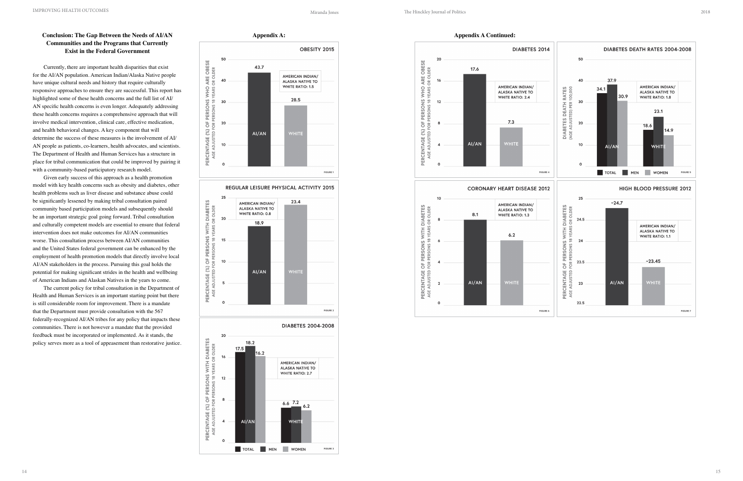# **Conclusion: The Gap Between the Needs of AI/AN Communities and the Programs that Currently Exist in the Federal Government**

Currently, there are important health disparities that exist for the AI/AN population. American Indian/Alaska Native people have unique cultural needs and history that require culturally responsive approaches to ensure they are successful. This report has highlighted some of these health concerns and the full list of AI/ AN specific health concerns is even longer. Adequately addressing these health concerns requires a comprehensive approach that will involve medical intervention, clinical care, effective medication, and health behavioral changes. A key component that will determine the success of these measures is the involvement of AI/ AN people as patients, co-learners, health advocates, and scientists. The Department of Health and Human Services has a structure in place for tribal communication that could be improved by pairing it with a community-based participatory research model.

Given early success of this approach as a health promotion model with key health concerns such as obesity and diabetes, other health problems such as liver disease and substance abuse could be significantly lessened by making tribal consultation paired community based participation models and subsequently should be an important strategic goal going forward. Tribal consultation and culturally competent models are essential to ensure that federal intervention does not make outcomes for AI/AN communities worse. This consultation process between AI/AN communities and the United States federal government can be enhanced by the employment of health promotion models that directly involve local AI/AN stakeholders in the process. Pursuing this goal holds the potential for making significant strides in the health and wellbeing of American Indians and Alaskan Natives in the years to come.

The current policy for tribal consultation in the Department of Health and Human Services is an important starting point but there is still considerable room for improvement. There is a mandate that the Department must provide consultation with the 567 federally-recognized AI/AN tribes for any policy that impacts these communities. There is not however a mandate that the provided feedback must be incorporated or implemented. As it stands, the policy serves more as a tool of appeasement than restorative justice.